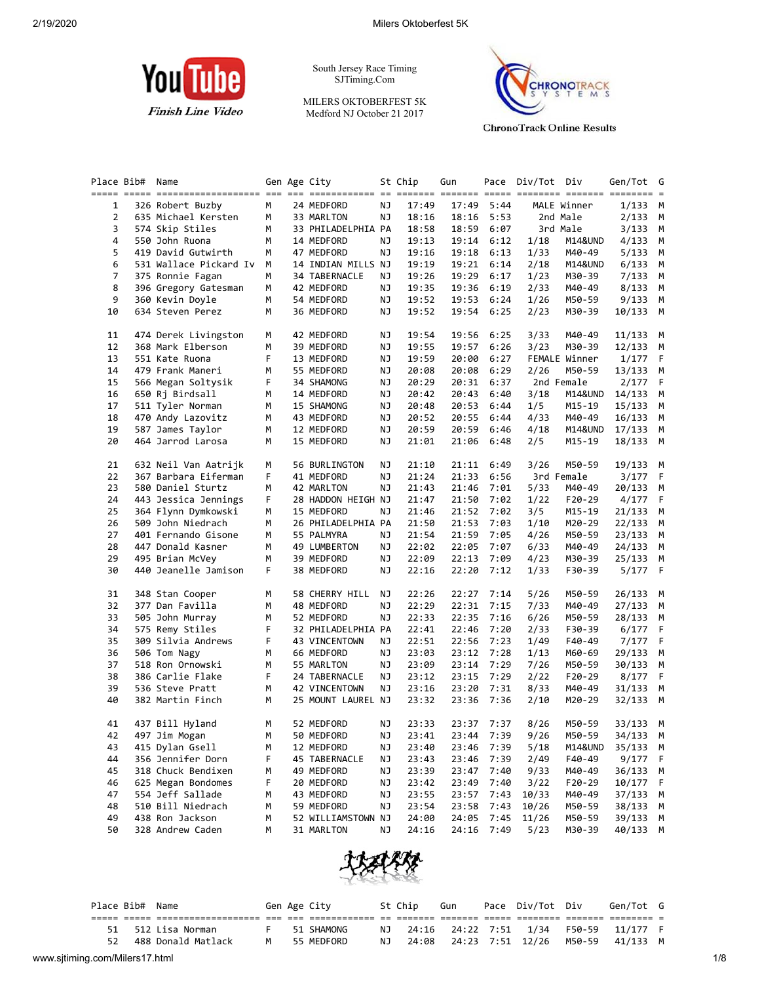

South Jersey Race Timing SJTiming.Com

MILERS OKTOBERFEST 5K Medford NJ October 21 2017



**ChronoTrack Online Results** 

|    | Place Bib# | Name                   |   | Gen Age City       |    | St Chip | Gun   |            | Pace Div/Tot Div |               | Gen/Tot    | G           |
|----|------------|------------------------|---|--------------------|----|---------|-------|------------|------------------|---------------|------------|-------------|
|    |            |                        |   |                    |    |         |       |            |                  |               |            |             |
| 1  |            | 326 Robert Buzby       | M | 24 MEDFORD         | ΝJ | 17:49   | 17:49 | 5:44       |                  | MALE Winner   | $1/133$ M  |             |
| 2  |            | 635 Michael Kersten    | м | 33 MARLTON         | ΝJ | 18:16   | 18:16 | 5:53       |                  | 2nd Male      | 2/133 M    |             |
| 3  |            | 574 Skip Stiles        | М | 33 PHILADELPHIA PA |    | 18:58   | 18:59 | 6:07       |                  | 3rd Male      | 3/133      | М           |
| 4  |            | 550 John Ruona         | М | 14 MEDFORD         | ΝJ | 19:13   | 19:14 | 6:12       | 1/18             | M14&UND       | 4/133      | М           |
| 5  |            | 419 David Gutwirth     | М | 47 MEDFORD         | ΝJ | 19:16   | 19:18 | 6:13       | 1/33             | M40-49        | 5/133      | M           |
| 6  |            | 531 Wallace Pickard Iv | М | 14 INDIAN MILLS NJ |    | 19:19   | 19:21 | 6:14       | 2/18             | M14&UND       | 6/133      | M           |
| 7  |            | 375 Ronnie Fagan       | М | 34 TABERNACLE      | ΝJ | 19:26   | 19:29 | 6:17       | 1/23             | M30-39        | 7/133      | M           |
| 8  |            | 396 Gregory Gatesman   | м | 42 MEDFORD         | ΝJ | 19:35   | 19:36 | 6:19       | 2/33             | M40-49        | 8/133 M    |             |
| 9  |            | 360 Kevin Doyle        | М | 54 MEDFORD         | ΝJ | 19:52   | 19:53 | 6:24       | 1/26             | M50-59        | 9/133      | М           |
| 10 |            | 634 Steven Perez       | М | 36 MEDFORD         | ΝJ | 19:52   | 19:54 | 6:25       | 2/23             | M30-39        | 10/133 M   |             |
| 11 |            | 474 Derek Livingston   | м | 42 MEDFORD         | ΝJ | 19:54   | 19:56 | 6:25       | 3/33             | M40-49        | 11/133     | M           |
| 12 |            | 368 Mark Elberson      | М | 39 MEDFORD         | ΝJ | 19:55   | 19:57 | 6:26       | 3/23             | M30-39        | 12/133     | M           |
| 13 |            | 551 Kate Ruona         | F | 13 MEDFORD         | ΝJ | 19:59   | 20:00 | 6:27       |                  | FEMALE Winner | 1/177      | F           |
| 14 |            | 479 Frank Maneri       | м | 55 MEDFORD         | ΝJ | 20:08   | 20:08 | 6:29       | 2/26             | M50-59        | 13/133     | М           |
| 15 |            | 566 Megan Soltysik     | F | 34 SHAMONG         | ΝJ | 20:29   | 20:31 | 6:37       |                  | 2nd Female    | 2/177      | F           |
| 16 |            | 650 Rj Birdsall        | м | 14 MEDFORD         | ΝJ | 20:42   | 20:43 | 6:40       | 3/18             | M14&UND       | 14/133     | M           |
| 17 |            | 511 Tyler Norman       | М | 15 SHAMONG         | ΝJ | 20:48   | 20:53 | 6:44       | 1/5              | M15-19        | 15/133     | M           |
| 18 |            | 470 Andy Lazovitz      | м | 43 MEDFORD         | ΝJ | 20:52   | 20:55 | 6:44       | 4/33             | M40-49        | 16/133     | M           |
| 19 |            | 587 James Taylor       | м | 12 MEDFORD         | ΝJ | 20:59   | 20:59 | 6:46       | 4/18             | M14&UND       | $17/133$ M |             |
| 20 |            | 464 Jarrod Larosa      | M | 15 MEDFORD         | ΝJ | 21:01   | 21:06 | 6:48       | 2/5              | M15-19        | 18/133 M   |             |
| 21 |            | 632 Neil Van Aatrijk   | м | 56 BURLINGTON      | ΝJ | 21:10   | 21:11 | 6:49       | 3/26             | M50-59        | 19/133 M   |             |
| 22 |            | 367 Barbara Eiferman   | F | 41 MEDFORD         | ΝJ | 21:24   | 21:33 | 6:56       |                  | 3rd Female    | 3/177      | F           |
| 23 |            | 580 Daniel Sturtz      | М | 42 MARLTON         | ΝJ | 21:43   | 21:46 | 7:01       | 5/33             | M40-49        | 20/133     | M           |
| 24 |            | 443 Jessica Jennings   | F | 28 HADDON HEIGH NJ |    | 21:47   | 21:50 | 7:02       | 1/22             | $F20-29$      | 4/177      | F           |
| 25 |            | 364 Flynn Dymkowski    | М | 15 MEDFORD         | ΝJ | 21:46   | 21:52 | 7:02       | 3/5              | M15-19        | 21/133     | М           |
| 26 |            | 509 John Niedrach      | М | 26 PHILADELPHIA PA |    | 21:50   | 21:53 | 7:03       | 1/10             | M20-29        | 22/133     | М           |
| 27 |            | 401 Fernando Gisone    | м | 55 PALMYRA         | ΝJ | 21:54   | 21:59 | 7:05       | 4/26             | M50-59        | 23/133 M   |             |
| 28 |            | 447 Donald Kasner      | М | 49 LUMBERTON       | ΝJ | 22:02   | 22:05 | 7:07       | 6/33             | M40-49        | 24/133     | M           |
| 29 |            | 495 Brian McVey        | м | 39 MEDFORD         | ΝJ | 22:09   | 22:13 | 7:09       | 4/23             | M30-39        | 25/133     | M           |
| 30 |            | 440 Jeanelle Jamison   | F | 38 MEDFORD         | ΝJ | 22:16   | 22:20 | 7:12       | 1/33             | F30-39        | 5/177 F    |             |
| 31 |            | 348 Stan Cooper        | м | 58 CHERRY HILL     | ΝJ | 22:26   | 22:27 | 7:14       | 5/26             | M50-59        | 26/133 M   |             |
| 32 |            | 377 Dan Favilla        | м | 48 MEDFORD         | ΝJ | 22:29   | 22:31 | 7:15       | 7/33             | M40-49        | 27/133 M   |             |
| 33 |            | 505 John Murray        | м | 52 MEDFORD         | ΝJ | 22:33   | 22:35 | 7:16       | 6/26             | M50-59        | 28/133     | M           |
| 34 |            | 575 Remy Stiles        | F | 32 PHILADELPHIA PA |    | 22:41   | 22:46 | 7:20       | 2/33             | F30-39        | 6/177      | $\mathsf F$ |
| 35 |            | 309 Silvia Andrews     | F | 43 VINCENTOWN      | ΝJ | 22:51   | 22:56 | 7:23       | 1/49             | F40-49        | 7/177      | F           |
| 36 |            | 506 Tom Nagy           | М | 66 MEDFORD         | ΝJ | 23:03   | 23:12 | 7:28       | 1/13             | M60-69        | 29/133     | М           |
| 37 |            | 518 Ron Ornowski       | м | 55 MARLTON         | ΝJ | 23:09   | 23:14 | 7:29       | 7/26             | M50-59        | 30/133     | М           |
| 38 |            | 386 Carlie Flake       | F | 24 TABERNACLE      | ΝJ | 23:12   | 23:15 | 7:29       | 2/22             | F20-29        | 8/177      | F           |
| 39 |            | 536 Steve Pratt        | М | 42 VINCENTOWN      | ΝJ | 23:16   | 23:20 | 7:31       | 8/33             | M40-49        | 31/133     | M           |
| 40 |            | 382 Martin Finch       | М | 25 MOUNT LAUREL NJ |    | 23:32   | 23:36 | 7:36       | 2/10             | M20-29        | 32/133 M   |             |
| 41 |            | 437 Bill Hyland        | М | 52 MEDFORD         | ΝJ | 23:33   |       | 23:37 7:37 | 8/26             | M50-59        | 33/133 M   |             |
| 42 |            | 497 Jim Mogan          | М | 50 MEDFORD         | NJ | 23:41   |       | 23:44 7:39 | 9/26             | M50-59        | 34/133 M   |             |
| 43 |            | 415 Dylan Gsell        | M | 12 MEDFORD         | ΝJ | 23:40   | 23:46 | 7:39       | 5/18             | M14&UND       | 35/133 M   |             |
| 44 |            | 356 Jennifer Dorn      | F | 45 TABERNACLE      | ΝJ | 23:43   | 23:46 | 7:39       | 2/49             | F40-49        | 9/177      | F           |
| 45 |            | 318 Chuck Bendixen     | м | 49 MEDFORD         | ΝJ | 23:39   | 23:47 | 7:40       | 9/33             | M40-49        | 36/133     | M           |
| 46 |            | 625 Megan Bondomes     | F | 20 MEDFORD         | ΝJ | 23:42   | 23:49 | 7:40       | 3/22             | F20-29        | 10/177     | F           |
| 47 |            | 554 Jeff Sallade       | М | 43 MEDFORD         | ΝJ | 23:55   | 23:57 | 7:43       | 10/33            | M40-49        | 37/133     | M           |
| 48 |            | 510 Bill Niedrach      | М | 59 MEDFORD         | ΝJ | 23:54   | 23:58 | 7:43       | 10/26            | M50-59        | 38/133     | M           |
| 49 |            | 438 Ron Jackson        | м | 52 WILLIAMSTOWN NJ |    | 24:00   | 24:05 | 7:45       | 11/26            | M50-59        | 39/133 M   |             |
| 50 |            | 328 Andrew Caden       | М | 31 MARLTON         | ΝJ | 24:16   | 24:16 | 7:49       | 5/23             | M30-39        | 40/133 M   |             |
|    |            |                        |   |                    |    |         |       |            |                  |               |            |             |



|                                |    | Place Bib# Name |                    |  | Gen Age City | St Chip | Gun | Pace Div/Tot Div                 | Gen/Tot G |     |
|--------------------------------|----|-----------------|--------------------|--|--------------|---------|-----|----------------------------------|-----------|-----|
|                                |    |                 |                    |  |              |         |     |                                  |           |     |
|                                | 51 |                 | 512 Lisa Norman    |  | 51 SHAMONG   |         |     | NJ 24:16 24:22 7:51 1/34 F50-59  | 11/177 F  |     |
|                                | 52 |                 | 488 Donald Matlack |  | M 55 MEDFORD |         |     | NJ 24:08 24:23 7:51 12/26 M50-59 | 41/133 M  |     |
| www.sjtiming.com/Milers17.html |    |                 |                    |  |              |         |     |                                  |           | 1/8 |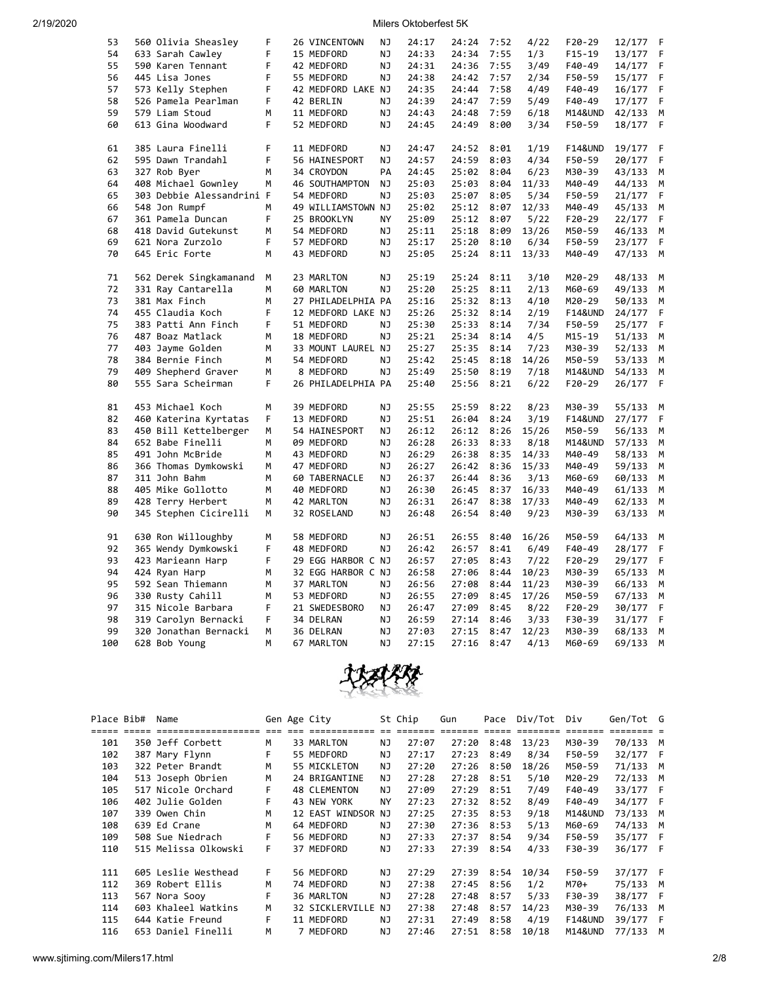| 53  | 560 Olivia Sheasley       | F | 26 VINCENTOWN      | NJ        | 24:17 | 24:24 | 7:52 | 4/22  | $F20-29$           | 12/177 | F |
|-----|---------------------------|---|--------------------|-----------|-------|-------|------|-------|--------------------|--------|---|
| 54  | 633 Sarah Cawley          | F | 15 MEDFORD         | ΝJ        | 24:33 | 24:34 | 7:55 | 1/3   | $F15-19$           | 13/177 | F |
| 55  | 590 Karen Tennant         | F | 42 MEDFORD         | ΝJ        | 24:31 | 24:36 | 7:55 | 3/49  | F40-49             | 14/177 | F |
| 56  | 445 Lisa Jones            | F | 55 MEDFORD         | <b>NJ</b> | 24:38 | 24:42 | 7:57 | 2/34  | F50-59             | 15/177 | F |
| 57  | 573 Kelly Stephen         | F | 42 MEDFORD LAKE NJ |           | 24:35 | 24:44 | 7:58 | 4/49  | F40-49             | 16/177 | F |
| 58  | 526 Pamela Pearlman       | F | 42 BERLIN          | NJ        | 24:39 | 24:47 | 7:59 | 5/49  | F40-49             | 17/177 | F |
| 59  | 579 Liam Stoud            | М | 11 MEDFORD         | ΝJ        | 24:43 | 24:48 | 7:59 | 6/18  | M14&UND            | 42/133 | M |
| 60  | 613 Gina Woodward         | F | 52 MEDFORD         | NJ        | 24:45 | 24:49 | 8:00 | 3/34  | F50-59             | 18/177 | F |
|     |                           |   |                    |           |       |       |      |       |                    |        |   |
| 61  | 385 Laura Finelli         | F | 11 MEDFORD         | NJ        | 24:47 | 24:52 | 8:01 | 1/19  | <b>F14&amp;UND</b> | 19/177 | F |
| 62  | 595 Dawn Trandahl         | F | 56 HAINESPORT      | ΝJ        | 24:57 | 24:59 | 8:03 | 4/34  | F50-59             | 20/177 | F |
| 63  | 327 Rob Byer              | M | 34 CROYDON         | PA        | 24:45 | 25:02 | 8:04 | 6/23  | M30-39             | 43/133 | М |
| 64  | 408 Michael Gownley       | м | 46 SOUTHAMPTON     | NJ        | 25:03 | 25:03 | 8:04 | 11/33 | M40-49             | 44/133 | М |
| 65  | 303 Debbie Alessandrini F |   | 54 MEDFORD         | <b>NJ</b> | 25:03 | 25:07 | 8:05 | 5/34  | F50-59             | 21/177 | F |
| 66  | 548 Jon Rumpf             | м | 49 WILLIAMSTOWN NJ |           | 25:02 | 25:12 | 8:07 | 12/33 | M40-49             | 45/133 | M |
| 67  | 361 Pamela Duncan         | F | 25 BROOKLYN        | NY        | 25:09 | 25:12 | 8:07 | 5/22  | F20-29             | 22/177 | F |
| 68  | 418 David Gutekunst       | M | 54 MEDFORD         | ΝJ        | 25:11 | 25:18 | 8:09 | 13/26 | M50-59             | 46/133 | M |
| 69  | 621 Nora Zurzolo          | F | 57 MEDFORD         | NJ        | 25:17 | 25:20 | 8:10 | 6/34  | F50-59             | 23/177 | F |
| 70  | 645 Eric Forte            | М | 43 MEDFORD         | ΝJ        | 25:05 | 25:24 | 8:11 | 13/33 | M40-49             | 47/133 | M |
|     |                           |   |                    |           |       |       |      |       |                    |        |   |
| 71  | 562 Derek Singkamanand    | М | 23 MARLTON         | NJ        | 25:19 | 25:24 | 8:11 | 3/10  | M20-29             | 48/133 | M |
| 72  | 331 Ray Cantarella        | м | 60 MARLTON         | ΝJ        | 25:20 | 25:25 | 8:11 | 2/13  | M60-69             | 49/133 | М |
| 73  | 381 Max Finch             | M | 27 PHILADELPHIA PA |           | 25:16 | 25:32 | 8:13 | 4/10  | M20-29             | 50/133 | M |
| 74  | 455 Claudia Koch          | F | 12 MEDFORD LAKE NJ |           | 25:26 | 25:32 | 8:14 | 2/19  | <b>F14&amp;UND</b> | 24/177 | F |
| 75  | 383 Patti Ann Finch       | F | 51 MEDFORD         | ΝJ        | 25:30 | 25:33 | 8:14 | 7/34  | F50-59             | 25/177 | F |
| 76  | 487 Boaz Matlack          | М | 18 MEDFORD         | ΝJ        | 25:21 | 25:34 | 8:14 | 4/5   | M15-19             | 51/133 | М |
| 77  | 403 Jayme Golden          | M | 33 MOUNT LAUREL NJ |           | 25:27 | 25:35 | 8:14 | 7/23  | M30-39             | 52/133 | М |
| 78  | 384 Bernie Finch          | M | 54 MEDFORD         | NJ        | 25:42 | 25:45 | 8:18 | 14/26 | M50-59             | 53/133 | M |
| 79  | 409 Shepherd Graver       | M | 8 MEDFORD          | NJ        | 25:49 | 25:50 | 8:19 | 7/18  | M14&UND            | 54/133 | M |
| 80  | 555 Sara Scheirman        | F | 26 PHILADELPHIA PA |           | 25:40 | 25:56 | 8:21 | 6/22  | F20-29             | 26/177 | F |
|     |                           |   |                    |           |       |       |      |       |                    |        |   |
| 81  | 453 Michael Koch          | M | 39 MEDFORD         | NJ        | 25:55 | 25:59 | 8:22 | 8/23  | M30-39             | 55/133 | М |
| 82  | 460 Katerina Kyrtatas     | F | 13 MEDFORD         | ΝJ        | 25:51 | 26:04 | 8:24 | 3/19  | F14&UND            | 27/177 | F |
| 83  | 450 Bill Kettelberger     | M | 54 HAINESPORT      | ΝJ        | 26:12 | 26:12 | 8:26 | 15/26 | M50-59             | 56/133 | M |
| 84  | 652 Babe Finelli          | M | 09 MEDFORD         | NJ        | 26:28 | 26:33 | 8:33 | 8/18  | M14&UND            | 57/133 | M |
| 85  | 491 John McBride          | M | 43 MEDFORD         | ΝJ        | 26:29 | 26:38 | 8:35 | 14/33 | M40-49             | 58/133 | M |
| 86  | 366 Thomas Dymkowski      | М | 47 MEDFORD         | <b>NJ</b> | 26:27 | 26:42 | 8:36 | 15/33 | M40-49             | 59/133 | M |
| 87  | 311 John Bahm             | M | 60 TABERNACLE      | NJ        | 26:37 | 26:44 | 8:36 | 3/13  | M60-69             | 60/133 | M |
| 88  | 405 Mike Gollotto         | М | 40 MEDFORD         | NJ        | 26:30 | 26:45 | 8:37 | 16/33 | M40-49             | 61/133 | М |
| 89  | 428 Terry Herbert         | м | 42 MARLTON         | ΝJ        | 26:31 | 26:47 | 8:38 | 17/33 | M40-49             | 62/133 | М |
| 90  | 345 Stephen Cicirelli     | М | 32 ROSELAND        | ΝJ        | 26:48 | 26:54 | 8:40 | 9/23  | M30-39             | 63/133 | M |
| 91  | 630 Ron Willoughby        | м | 58 MEDFORD         | ΝJ        | 26:51 | 26:55 | 8:40 | 16/26 | M50-59             | 64/133 | М |
| 92  | 365 Wendy Dymkowski       | F | 48 MEDFORD         | NJ        | 26:42 | 26:57 | 8:41 | 6/49  | F40-49             | 28/177 | F |
| 93  | 423 Marieann Harp         | F | 29 EGG HARBOR C NJ |           | 26:57 | 27:05 | 8:43 | 7/22  | F20-29             | 29/177 | F |
| 94  | 424 Ryan Harp             | М | 32 EGG HARBOR C NJ |           | 26:58 | 27:06 | 8:44 | 10/23 | M30-39             | 65/133 | M |
| 95  | 592 Sean Thiemann         | M | 37 MARLTON         | ΝJ        | 26:56 | 27:08 | 8:44 | 11/23 | M30-39             | 66/133 | М |
| 96  | 330 Rusty Cahill          | M | 53 MEDFORD         | ΝJ        | 26:55 | 27:09 | 8:45 | 17/26 | M50-59             | 67/133 | M |
| 97  | 315 Nicole Barbara        | F | 21 SWEDESBORO      | ΝJ        | 26:47 | 27:09 | 8:45 | 8/22  | F20-29             | 30/177 | F |
| 98  | 319 Carolyn Bernacki      | F | 34 DELRAN          | ΝJ        | 26:59 | 27:14 | 8:46 | 3/33  | F30-39             | 31/177 | F |
| 99  | 320 Jonathan Bernacki     | М | 36 DELRAN          | <b>NJ</b> | 27:03 | 27:15 | 8:47 | 12/23 | M30-39             | 68/133 | M |
| 100 | 628 Bob Young             | M | 67 MARLTON         | ΝJ        | 27:15 | 27:16 | 8:47 | 4/13  | M60-69             | 69/133 | M |
|     |                           |   |                    |           |       |       |      |       |                    |        |   |



| Place Bib# | Name                 |                         | Gen Age City        |      | St Chip | Gun   |      | Pace Div/Tot | Div                | Gen/Tot G |          |
|------------|----------------------|-------------------------|---------------------|------|---------|-------|------|--------------|--------------------|-----------|----------|
|            | ==================== | $=$ $=$ $=$ $=$ $=$ $=$ |                     | $==$ |         |       |      |              |                    |           |          |
| 101        | 350 Jeff Corbett     | м                       | 33 MARLTON          | ΝJ   | 27:07   | 27:20 | 8:48 | 13/23        | M30-39             | 70/133 M  |          |
| 102        | 387 Mary Flynn       | F                       | 55 MEDFORD          | ΝJ   | 27:17   | 27:23 | 8:49 | 8/34         | F50-59             | 32/177 F  |          |
| 103        | 322 Peter Brandt     | м                       | 55 MICKLETON        | ΝJ   | 27:20   | 27:26 | 8:50 | 18/26        | M50-59             | 71/133 M  |          |
| 104        | 513 Joseph Obrien    | M                       | 24 BRIGANTINE       | NJ.  | 27:28   | 27:28 | 8:51 | 5/10         | M20-29             | 72/133 M  |          |
| 105        | 517 Nicole Orchard   | F                       | <b>48 CLEMENTON</b> | NJ.  | 27:09   | 27:29 | 8:51 | 7/49         | F40-49             | 33/177 F  |          |
| 106        | 402 Julie Golden     | F                       | 43 NEW YORK         | NΥ   | 27:23   | 27:32 | 8:52 | 8/49         | F40-49             | 34/177 F  |          |
| 107        | 339 Owen Chin        | M                       | 12 EAST WINDSOR     | NJ.  | 27:25   | 27:35 | 8:53 | 9/18         | <b>M14&amp;UND</b> | 73/133 M  |          |
| 108        | 639 Ed Crane         | м                       | 64 MEDFORD          | ΝJ   | 27:30   | 27:36 | 8:53 | 5/13         | M60-69             | 74/133    | <b>M</b> |
| 109        | 508 Sue Niedrach     | F                       | 56 MEDFORD          | ΝJ   | 27:33   | 27:37 | 8:54 | 9/34         | F50-59             | 35/177    | - F      |
| 110        | 515 Melissa Olkowski | F.                      | 37 MEDFORD          | NJ.  | 27:33   | 27:39 | 8:54 | 4/33         | F30-39             | 36/177 F  |          |
|            |                      |                         |                     |      |         |       |      |              |                    |           |          |
| 111        | 605 Leslie Westhead  | F.                      | 56 MEDFORD          | NJ   | 27:29   | 27:39 | 8:54 | 10/34        | F50-59             | 37/177 F  |          |
| 112        | 369 Robert Ellis     | м                       | 74 MEDFORD          | NJ.  | 27:38   | 27:45 | 8:56 | 1/2          | M70+               | 75/133    | M        |
| 113        | 567 Nora Sooy        | F                       | 36 MARLTON          | NJ   | 27:28   | 27:48 | 8:57 | 5/33         | F30-39             | 38/177    | - F      |
| 114        | 603 Khaleel Watkins  | м                       | 32 SICKLERVILLE     | NJ   | 27:38   | 27:48 | 8:57 | 14/23        | M30-39             | 76/133    | M        |
| 115        | 644 Katie Freund     | F                       | 11 MEDFORD          | ΝJ   | 27:31   | 27:49 | 8:58 | 4/19         | <b>F14&amp;UND</b> | 39/177    | F        |
| 116        | 653 Daniel Finelli   | м                       | 7 MEDFORD           | NJ.  | 27:46   | 27:51 | 8:58 | 10/18        | <b>M14&amp;UND</b> | 77/133    | M        |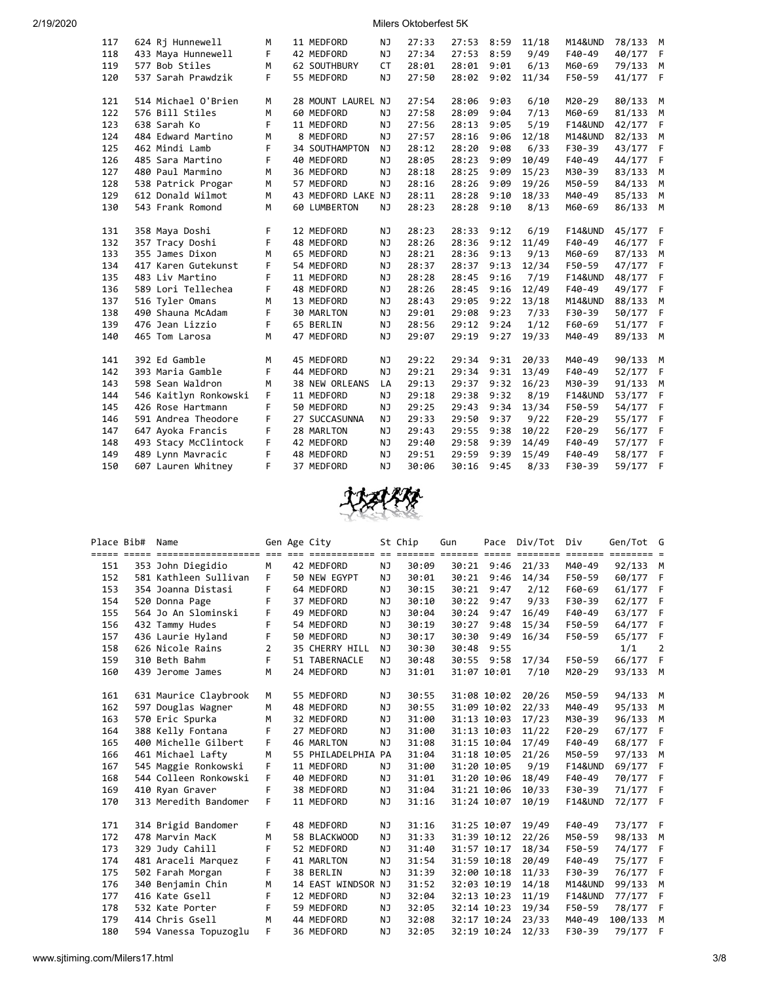| 2/19/2020 |  |  |  |
|-----------|--|--|--|

2020 Milers Oktoberfest 5K

| 117 | 624 Rj Hunnewell      | м | 11 MEDFORD            | NJ        | 27:33 | 27:53 | 8:59 | 11/18 | <b>M14&amp;UND</b> | 78/133 | M   |
|-----|-----------------------|---|-----------------------|-----------|-------|-------|------|-------|--------------------|--------|-----|
| 118 | 433 Maya Hunnewell    | F | 42 MEDFORD            | NJ        | 27:34 | 27:53 | 8:59 | 9/49  | F40-49             | 40/177 | F   |
| 119 | 577 Bob Stiles        | M | 62 SOUTHBURY          | <b>CT</b> | 28:01 | 28:01 | 9:01 | 6/13  | M60-69             | 79/133 | M   |
| 120 | 537 Sarah Prawdzik    | F | 55 MEDFORD            | NJ        | 27:50 | 28:02 | 9:02 | 11/34 | F50-59             | 41/177 | - F |
|     |                       |   |                       |           |       |       |      |       |                    |        |     |
| 121 | 514 Michael O'Brien   | M | 28 MOUNT LAUREL NJ    |           | 27:54 | 28:06 | 9:03 | 6/10  | M20-29             | 80/133 | M   |
| 122 | 576 Bill Stiles       | M | 60 MEDFORD            | NJ        | 27:58 | 28:09 | 9:04 | 7/13  | M60-69             | 81/133 | M   |
| 123 | 638 Sarah Ko          | F | 11 MEDFORD            | NJ        | 27:56 | 28:13 | 9:05 | 5/19  | <b>F14&amp;UND</b> | 42/177 | F   |
| 124 | 484 Edward Martino    | M | 8 MEDFORD             | <b>NJ</b> | 27:57 | 28:16 | 9:06 | 12/18 | <b>M14&amp;UND</b> | 82/133 | M   |
| 125 | 462 Mindi Lamb        | F | 34 SOUTHAMPTON        | NJ        | 28:12 | 28:20 | 9:08 | 6/33  | F30-39             | 43/177 | F   |
| 126 | 485 Sara Martino      | F | 40 MEDFORD            | <b>NJ</b> | 28:05 | 28:23 | 9:09 | 10/49 | F40-49             | 44/177 | F   |
| 127 | 480 Paul Marmino      | M | 36 MEDFORD            | NJ        | 28:18 | 28:25 | 9:09 | 15/23 | M30-39             | 83/133 | M   |
| 128 | 538 Patrick Progar    | M | 57 MEDFORD            | NJ        | 28:16 | 28:26 | 9:09 | 19/26 | M50-59             | 84/133 | M   |
| 129 | 612 Donald Wilmot     | M | 43 MEDFORD LAKE NJ    |           | 28:11 | 28:28 | 9:10 | 18/33 | M40-49             | 85/133 | M   |
| 130 | 543 Frank Romond      | M | 60 LUMBERTON          | <b>NJ</b> | 28:23 | 28:28 | 9:10 | 8/13  | M60-69             | 86/133 | M   |
|     |                       |   |                       |           |       |       |      |       |                    |        |     |
| 131 | 358 Maya Doshi        | F | 12 MEDFORD            | NJ        | 28:23 | 28:33 | 9:12 | 6/19  | <b>F14&amp;UND</b> | 45/177 | - F |
| 132 | 357 Tracy Doshi       | F | 48 MEDFORD            | NJ        | 28:26 | 28:36 | 9:12 | 11/49 | F40-49             | 46/177 | F   |
| 133 | 355 James Dixon       | м | 65 MEDFORD            | <b>NJ</b> | 28:21 | 28:36 | 9:13 | 9/13  | M60-69             | 87/133 | М   |
| 134 | 417 Karen Gutekunst   | F | 54 MEDFORD            | NJ        | 28:37 | 28:37 | 9:13 | 12/34 | F50-59             | 47/177 | F   |
| 135 | 483 Liv Martino       | F | 11 MEDFORD            | <b>NJ</b> | 28:28 | 28:45 | 9:16 | 7/19  | <b>F14&amp;UND</b> | 48/177 | F   |
| 136 | 589 Lori Tellechea    | F | 48 MEDFORD            | NJ        | 28:26 | 28:45 | 9:16 | 12/49 | F40-49             | 49/177 | F   |
| 137 | 516 Tyler Omans       | м | 13 MEDFORD            | <b>NJ</b> | 28:43 | 29:05 | 9:22 | 13/18 | M14&UND            | 88/133 | М   |
| 138 | 490 Shauna McAdam     | F | <b>30 MARLTON</b>     | NJ        | 29:01 | 29:08 | 9:23 | 7/33  | F30-39             | 50/177 | F   |
| 139 | 476 Jean Lizzio       | F | 65 BERLIN             | NJ        | 28:56 | 29:12 | 9:24 | 1/12  | F60-69             | 51/177 | F   |
| 140 | 465 Tom Larosa        | M | 47 MEDFORD            | <b>NJ</b> | 29:07 | 29:19 | 9:27 | 19/33 | M40-49             | 89/133 | M   |
|     |                       |   |                       |           |       |       |      |       |                    |        |     |
| 141 | 392 Ed Gamble         | М | 45 MEDFORD            | ΝJ        | 29:22 | 29:34 | 9:31 | 20/33 | M40-49             | 90/133 | M   |
| 142 | 393 Maria Gamble      | F | 44 MEDFORD            | NJ        | 29:21 | 29:34 | 9:31 | 13/49 | F40-49             | 52/177 | F   |
| 143 | 598 Sean Waldron      | М | <b>38 NEW ORLEANS</b> | LA        | 29:13 | 29:37 | 9:32 | 16/23 | M30-39             | 91/133 | M   |
| 144 | 546 Kaitlyn Ronkowski | F | 11 MEDFORD            | NJ        | 29:18 | 29:38 | 9:32 | 8/19  | <b>F14&amp;UND</b> | 53/177 | F   |
| 145 | 426 Rose Hartmann     | F | 50 MEDFORD            | NJ        | 29:25 | 29:43 | 9:34 | 13/34 | F50-59             | 54/177 | F   |
| 146 | 591 Andrea Theodore   | F | 27 SUCCASUNNA         | NJ        | 29:33 | 29:50 | 9:37 | 9/22  | $F20-29$           | 55/177 | F   |
| 147 | 647 Ayoka Francis     | F | 28 MARLTON            | NJ        | 29:43 | 29:55 | 9:38 | 10/22 | $F20-29$           | 56/177 | F   |
| 148 | 493 Stacy McClintock  | F | 42 MEDFORD            | <b>NJ</b> | 29:40 | 29:58 | 9:39 | 14/49 | F40-49             | 57/177 | F   |
| 149 | 489 Lynn Mavracic     | F | 48 MEDFORD            | NJ        | 29:51 | 29:59 | 9:39 | 15/49 | F40-49             | 58/177 | F   |
| 150 | 607 Lauren Whitney    | F | 37 MEDFORD            | NJ        | 30:06 | 30:16 | 9:45 | 8/33  | F30-39             | 59/177 | - F |
|     |                       |   |                       |           |       |       |      |       |                    |        |     |



| Place Bib# | Name                  |   | Gen Age City       |           | St Chip | Gun   | Pace        | Div/Tot | Div                     | Gen/Tot G               |     |
|------------|-----------------------|---|--------------------|-----------|---------|-------|-------------|---------|-------------------------|-------------------------|-----|
|            |                       |   |                    |           |         |       |             |         | $=$ $=$ $=$ $=$ $=$ $=$ | $=$ $=$ $=$ $=$ $=$ $=$ |     |
| 151        | 353 John Diegidio     | M | 42 MEDFORD         | NJ        | 30:09   |       | 30:21 9:46  | 21/33   | M40-49                  | 92/133 M                |     |
| 152        | 581 Kathleen Sullivan | F | 50 NEW EGYPT       | ΝJ        | 30:01   | 30:21 | 9:46        | 14/34   | F50-59                  | 60/177                  | - F |
| 153        | 354 Joanna Distasi    | F | 64 MEDFORD         | NJ        | 30:15   | 30:21 | 9:47        | 2/12    | F60-69                  | 61/177                  | F   |
| 154        | 520 Donna Page        | F | 37 MEDFORD         | NJ        | 30:10   | 30:22 | 9:47        | 9/33    | F30-39                  | 62/177                  | F   |
| 155        | 564 Jo An Slominski   | F | 49 MEDFORD         | NJ        | 30:04   | 30:24 | 9:47        | 16/49   | F40-49                  | 63/177                  | F   |
| 156        | 432 Tammy Hudes       | F | 54 MEDFORD         | NJ        | 30:19   | 30:27 | 9:48        | 15/34   | F50-59                  | 64/177                  | - F |
| 157        | 436 Laurie Hyland     | F | 50 MEDFORD         | ΝJ        | 30:17   | 30:30 | 9:49        | 16/34   | F50-59                  | 65/177                  | F   |
| 158        | 626 Nicole Rains      | 2 | 35 CHERRY HILL     | NJ.       | 30:30   | 30:48 | 9:55        |         |                         | 1/1                     | 2   |
| 159        | 310 Beth Bahm         | F | 51 TABERNACLE      | ΝJ        | 30:48   |       | 30:55 9:58  | 17/34   | F50-59                  | 66/177                  | F   |
| 160        | 439 Jerome James      | M | 24 MEDFORD         | NJ        | 31:01   |       | 31:07 10:01 | 7/10    | M20-29                  | 93/133 M                |     |
|            |                       |   |                    |           |         |       |             |         |                         |                         |     |
| 161        | 631 Maurice Claybrook | M | 55 MEDFORD         | ΝJ        | 30:55   |       | 31:08 10:02 | 20/26   | M50-59                  | 94/133 M                |     |
| 162        | 597 Douglas Wagner    | M | 48 MEDFORD         | NJ        | 30:55   |       | 31:09 10:02 | 22/33   | M40-49                  | 95/133                  | M   |
| 163        | 570 Eric Spurka       | M | 32 MEDFORD         | NJ        | 31:00   |       | 31:13 10:03 | 17/23   | M30-39                  | 96/133                  | M   |
| 164        | 388 Kelly Fontana     | F | 27 MEDFORD         | <b>NJ</b> | 31:00   |       | 31:13 10:03 | 11/22   | $F20-29$                | 67/177                  | - F |
| 165        | 400 Michelle Gilbert  | F | 46 MARLTON         | NJ        | 31:08   |       | 31:15 10:04 | 17/49   | F40-49                  | 68/177                  | - F |
| 166        | 461 Michael Lafty     | M | 55 PHILADELPHIA PA |           | 31:04   |       | 31:18 10:05 | 21/26   | M50-59                  | 97/133                  | M   |
| 167        | 545 Maggie Ronkowski  | F | 11 MEDFORD         | NJ.       | 31:00   |       | 31:20 10:05 | 9/19    | <b>F14&amp;UND</b>      | 69/177                  | -F  |
| 168        | 544 Colleen Ronkowski | F | 40 MEDFORD         | NJ        | 31:01   |       | 31:20 10:06 | 18/49   | F40-49                  | 70/177                  | F   |
| 169        | 410 Ryan Graver       | F | 38 MEDFORD         | NJ        | 31:04   |       | 31:21 10:06 | 10/33   | F30-39                  | 71/177                  | F   |
| 170        | 313 Meredith Bandomer | F | 11 MEDFORD         | NJ        | 31:16   |       | 31:24 10:07 | 10/19   | <b>F14&amp;UND</b>      | 72/177 F                |     |
|            |                       |   |                    |           |         |       |             |         |                         |                         |     |
| 171        | 314 Brigid Bandomer   | F | 48 MEDFORD         | NJ.       | 31:16   |       | 31:25 10:07 | 19/49   | F40-49                  | 73/177 F                |     |
| 172        | 478 Marvin MacK       | м | 58 BLACKWOOD       | NJ        | 31:33   |       | 31:39 10:12 | 22/26   | M50-59                  | 98/133                  | M   |
| 173        | 329 Judy Cahill       | F | 52 MEDFORD         | NJ        | 31:40   |       | 31:57 10:17 | 18/34   | F50-59                  | 74/177                  | -F  |
| 174        | 481 Araceli Marquez   | F | 41 MARLTON         | NJ        | 31:54   |       | 31:59 10:18 | 20/49   | F40-49                  | 75/177                  | - F |
| 175        | 502 Farah Morgan      | F | 38 BERLIN          | ΝJ        | 31:39   |       | 32:00 10:18 | 11/33   | F30-39                  | 76/177                  | - F |
| 176        | 340 Benjamin Chin     | M | 14 EAST WINDSOR NJ |           | 31:52   |       | 32:03 10:19 | 14/18   | <b>M14&amp;UND</b>      | 99/133                  | M   |
| 177        | 416 Kate Gsell        | F | 12 MEDFORD         | NJ        | 32:04   |       | 32:13 10:23 | 11/19   | <b>F14&amp;UND</b>      | 77/177                  | F.  |
| 178        | 532 Kate Porter       | F | 59 MEDFORD         | NJ.       | 32:05   |       | 32:14 10:23 | 19/34   | F50-59                  | 78/177                  | F   |
| 179        | 414 Chris Gsell       | M | 44 MEDFORD         | NJ        | 32:08   |       | 32:17 10:24 | 23/33   | M40-49                  | 100/133                 | M   |
| 180        | 594 Vanessa Topuzoglu | F | 36 MEDFORD         | NJ        | 32:05   |       | 32:19 10:24 | 12/33   | F30-39                  | 79/177                  | F   |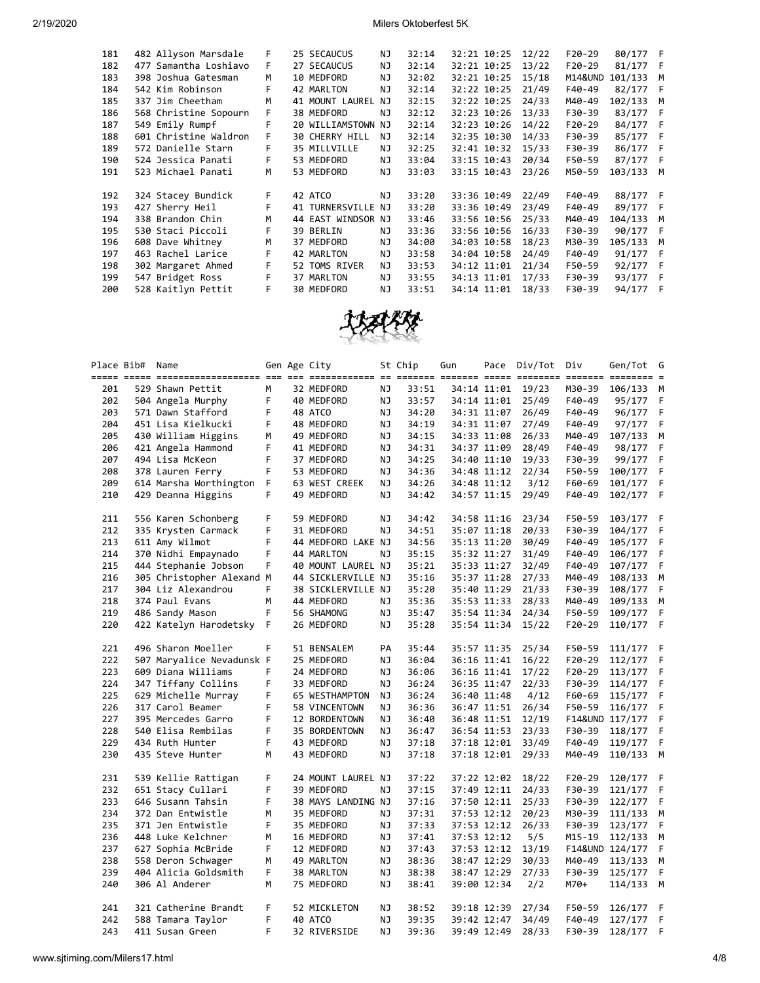| 181 | 482 Allyson Marsdale  | F  | 25 SECAUCUS           | NJ  | 32:14 | 32:21 10:25 | 12/22 | $F20-29$ | 80/177 F |   |
|-----|-----------------------|----|-----------------------|-----|-------|-------------|-------|----------|----------|---|
| 182 | 477 Samantha Loshiavo | F. | 27 SECAUCUS           | NJ  | 32:14 | 32:21 10:25 | 13/22 | $F20-29$ | 81/177 F |   |
| 183 | 398 Joshua Gatesman   | M  | 10 MEDFORD            | NJ  | 32:02 | 32:21 10:25 | 15/18 | M14&UND  | 101/133  | M |
| 184 | 542 Kim Robinson      | F  | 42 MARLTON            | NJ  | 32:14 | 32:22 10:25 | 21/49 | F40-49   | 82/177 F |   |
| 185 | 337 Jim Cheetham      | M  | 41 MOUNT LAUREL       | NJ  | 32:15 | 32:22 10:25 | 24/33 | M40-49   | 102/133  | M |
| 186 | 568 Christine Sopourn |    | 38 MEDFORD            | ΝJ  | 32:12 | 32:23 10:26 | 13/33 | F30-39   | 83/177 F |   |
| 187 | 549 Emily Rumpf       | F  | 20 WILLIAMSTOWN NJ    |     | 32:14 | 32:23 10:26 | 14/22 | $F20-29$ | 84/177 F |   |
| 188 | 601 Christine Waldron | F. | <b>30 CHERRY HILL</b> | NJ. | 32:14 | 32:35 10:30 | 14/33 | F30-39   | 85/177 F |   |
| 189 | 572 Danielle Starn    | F. | 35 MILLVILLE          | ΝJ  | 32:25 | 32:41 10:32 | 15/33 | F30-39   | 86/177 F |   |
| 190 | 524 Jessica Panati    | F  | 53 MEDFORD            | NJ  | 33:04 | 33:15 10:43 | 20/34 | F50-59   | 87/177 F |   |
| 191 | 523 Michael Panati    | M  | 53 MEDFORD            | ΝJ  | 33:03 | 33:15 10:43 | 23/26 | M50-59   | 103/133  | M |
|     |                       |    |                       |     |       |             |       |          |          |   |
| 192 | 324 Stacey Bundick    | F. | 42 ATCO               | ΝJ  | 33:20 | 33:36 10:49 | 22/49 | F40-49   | 88/177 F |   |
| 193 | 427 Sherry Heil       | F. | 41 TURNERSVILLE NJ    |     | 33:20 | 33:36 10:49 | 23/49 | F40-49   | 89/177 F |   |
| 194 | 338 Brandon Chin      | м  | 44 EAST WINDSOR NJ    |     | 33:46 | 33:56 10:56 | 25/33 | M40-49   | 104/133  | M |
| 195 | 530 Staci Piccoli     |    | 39 BERLIN             | NJ  | 33:36 | 33:56 10:56 | 16/33 | F30-39   | 90/177 F |   |
| 196 | 608 Dave Whitney      | м  | 37 MEDFORD            | NJ  | 34:00 | 34:03 10:58 | 18/23 | M30-39   | 105/133  | M |
| 197 | 463 Rachel Larice     | F  | 42 MARLTON            | NJ  | 33:58 | 34:04 10:58 | 24/49 | F40-49   | 91/177 F |   |
| 198 | 302 Margaret Ahmed    | F. | 52 TOMS RIVER         | NJ  | 33:53 | 34:12 11:01 | 21/34 | F50-59   | 92/177 F |   |
| 199 | 547 Bridget Ross      |    | 37 MARLTON            | NJ  | 33:55 | 34:13 11:01 | 17/33 | F30-39   | 93/177 F |   |
| 200 | 528 Kaitlyn Pettit    |    | 30 MEDFORD            | NJ  | 33:51 | 34:14 11:01 | 18/33 | F30-39   | 94/177 F |   |



|     | Place Bib# | Name                      |   | Gen Age City       |           | St Chip | Gun | Pace        | Div/Tot Div |          | Gen/Tot         | G  |
|-----|------------|---------------------------|---|--------------------|-----------|---------|-----|-------------|-------------|----------|-----------------|----|
| 201 |            | 529 Shawn Pettit          | М | 32 MEDFORD         | ΝJ        | 33:51   |     | 34:14 11:01 | 19/23       | M30-39   | 106/133         | М  |
| 202 |            | 504 Angela Murphy         | F | 40 MEDFORD         | ΝJ        | 33:57   |     | 34:14 11:01 | 25/49       | F40-49   | 95/177          | F  |
| 203 |            | 571 Dawn Stafford         | F | 48 ATCO            | NJ        | 34:20   |     | 34:31 11:07 | 26/49       | F40-49   | 96/177          | F  |
| 204 |            | 451 Lisa Kielkucki        | F | 48 MEDFORD         | ΝJ        | 34:19   |     | 34:31 11:07 | 27/49       | F40-49   | 97/177          | F  |
| 205 |            | 430 William Higgins       | м | 49 MEDFORD         | ΝJ        | 34:15   |     | 34:33 11:08 | 26/33       | M40-49   | 107/133         | М  |
| 206 |            | 421 Angela Hammond        | F | 41 MEDFORD         | ΝJ        | 34:31   |     | 34:37 11:09 | 28/49       | F40-49   | 98/177          | F  |
| 207 |            | 494 Lisa McKeon           | F | 37 MEDFORD         | NJ        | 34:25   |     | 34:40 11:10 | 19/33       | F30-39   | 99/177          | F  |
| 208 |            | 378 Lauren Ferry          | F | 53 MEDFORD         | ΝJ        | 34:36   |     | 34:48 11:12 | 22/34       | F50-59   | 100/177         | F  |
| 209 |            | 614 Marsha Worthington    | F | 63 WEST CREEK      | ΝJ        | 34:26   |     | 34:48 11:12 | 3/12        | F60-69   | 101/177         | F  |
| 210 |            | 429 Deanna Higgins        | F | 49 MEDFORD         | NJ.       | 34:42   |     | 34:57 11:15 | 29/49       | F40-49   | 102/177         | F  |
| 211 |            | 556 Karen Schonberg       | F | 59 MEDFORD         | ΝJ        | 34:42   |     | 34:58 11:16 | 23/34       | F50-59   | 103/177         | F  |
| 212 |            | 335 Krysten Carmack       | F | 31 MEDFORD         | ΝJ        | 34:51   |     | 35:07 11:18 | 20/33       | F30-39   | 104/177         | F  |
| 213 |            | 611 Amy Wilmot            | F | 44 MEDFORD LAKE NJ |           | 34:56   |     | 35:13 11:20 | 30/49       | F40-49   | 105/177         | F. |
| 214 |            | 370 Nidhi Empaynado       | F | 44 MARLTON         | ΝJ        | 35:15   |     | 35:32 11:27 | 31/49       | F40-49   | 106/177         | F  |
| 215 |            | 444 Stephanie Jobson      | F | 40 MOUNT LAUREL NJ |           | 35:21   |     | 35:33 11:27 | 32/49       | F40-49   | 107/177         | F  |
| 216 |            | 305 Christopher Alexand M |   | 44 SICKLERVILLE NJ |           | 35:16   |     | 35:37 11:28 | 27/33       | M40-49   | 108/133         | М  |
| 217 |            | 304 Liz Alexandrou        | F | 38 SICKLERVILLE NJ |           | 35:20   |     | 35:40 11:29 | 21/33       | F30-39   | 108/177         | F  |
| 218 |            | 374 Paul Evans            | M | 44 MEDFORD         | ΝJ        | 35:36   |     | 35:53 11:33 | 28/33       | M40-49   | 109/133         | M  |
| 219 |            | 486 Sandy Mason           | F | 56 SHAMONG         | NJ        | 35:47   |     | 35:54 11:34 | 24/34       | F50-59   | 109/177         | F  |
| 220 |            | 422 Katelyn Harodetsky    | F | 26 MEDFORD         | NJ        | 35:28   |     | 35:54 11:34 | 15/22       | $F20-29$ | 110/177         | F  |
| 221 |            | 496 Sharon Moeller        | F | 51 BENSALEM        | PA        | 35:44   |     | 35:57 11:35 | 25/34       | F50-59   | 111/177         | F  |
| 222 |            | 507 Maryalice Nevadunsk F |   | 25 MEDFORD         | ΝJ        | 36:04   |     | 36:16 11:41 | 16/22       | $F20-29$ | 112/177         | F  |
| 223 |            | 609 Diana Williams        | F | 24 MEDFORD         | ΝJ        | 36:06   |     | 36:16 11:41 | 17/22       | $F20-29$ | 113/177         | F  |
| 224 |            | 347 Tiffany Collins       | F | 33 MEDFORD         | ΝJ        | 36:24   |     | 36:35 11:47 | 22/33       | F30-39   | 114/177         | F  |
| 225 |            | 629 Michelle Murray       | F | 65 WESTHAMPTON     | ΝJ        | 36:24   |     | 36:40 11:48 | 4/12        | F60-69   | 115/177         | F  |
| 226 |            | 317 Carol Beamer          | F | 58 VINCENTOWN      | ΝJ        | 36:36   |     | 36:47 11:51 | 26/34       | F50-59   | 116/177         | F  |
| 227 |            | 395 Mercedes Garro        | F | 12 BORDENTOWN      | ΝJ        | 36:40   |     | 36:48 11:51 | 12/19       |          | F14&UND 117/177 | F  |
| 228 |            | 540 Elisa Rembilas        | F | 35 BORDENTOWN      | ΝJ        | 36:47   |     | 36:54 11:53 | 23/33       | F30-39   | 118/177         | F  |
| 229 |            | 434 Ruth Hunter           | F | 43 MEDFORD         | <b>NJ</b> | 37:18   |     | 37:18 12:01 | 33/49       | F40-49   | 119/177         | F  |
| 230 |            | 435 Steve Hunter          | M | 43 MEDFORD         | ΝJ        | 37:18   |     | 37:18 12:01 | 29/33       | M40-49   | 110/133         | М  |
| 231 |            | 539 Kellie Rattigan       | F | 24 MOUNT LAUREL NJ |           | 37:22   |     | 37:22 12:02 | 18/22       | $F20-29$ | 120/177         | F  |
| 232 |            | 651 Stacy Cullari         | F | 39 MEDFORD         | <b>NJ</b> | 37:15   |     | 37:49 12:11 | 24/33       | F30-39   | 121/177         | F  |
| 233 |            | 646 Susann Tahsin         | F | 38 MAYS LANDING NJ |           | 37:16   |     | 37:50 12:11 | 25/33       | F30-39   | 122/177         | F  |
| 234 |            | 372 Dan Entwistle         | M | 35 MEDFORD         | ΝJ        | 37:31   |     | 37:53 12:12 | 20/23       | M30-39   | 111/133         | М  |
| 235 |            | 371 Jen Entwistle         | F | 35 MEDFORD         | ΝJ        | 37:33   |     | 37:53 12:12 | 26/33       | F30-39   | 123/177         | F  |
| 236 |            | 448 Luke Kelchner         | м | 16 MEDFORD         | ΝJ        | 37:41   |     | 37:53 12:12 | 5/5         | M15-19   | 112/133         | М  |
| 237 |            | 627 Sophia McBride        | F | 12 MEDFORD         | ΝJ        | 37:43   |     | 37:53 12:12 | 13/19       |          | F14&UND 124/177 | F  |
| 238 |            | 558 Deron Schwager        | м | 49 MARLTON         | ΝJ        | 38:36   |     | 38:47 12:29 | 30/33       | M40-49   | 113/133         | М  |
| 239 |            | 404 Alicia Goldsmith      | F | 38 MARLTON         | ΝJ        | 38:38   |     | 38:47 12:29 | 27/33       | F30-39   | 125/177         | F. |
| 240 |            | 306 Al Anderer            | M | 75 MEDFORD         | NJ.       | 38:41   |     | 39:00 12:34 | 2/2         | M70+     | 114/133         | M  |
| 241 |            | 321 Catherine Brandt      | F | 52 MICKLETON       | NJ.       | 38:52   |     | 39:18 12:39 | 27/34       | F50-59   | 126/177         | F  |
| 242 |            | 588 Tamara Taylor         | F | 40 ATCO            | NJ        | 39:35   |     | 39:42 12:47 | 34/49       | F40-49   | 127/177         | F  |
| 243 |            | 411 Susan Green           | F | 32 RIVERSIDE       | NJ        | 39:36   |     | 39:49 12:49 | 28/33       | F30-39   | 128/177         | F  |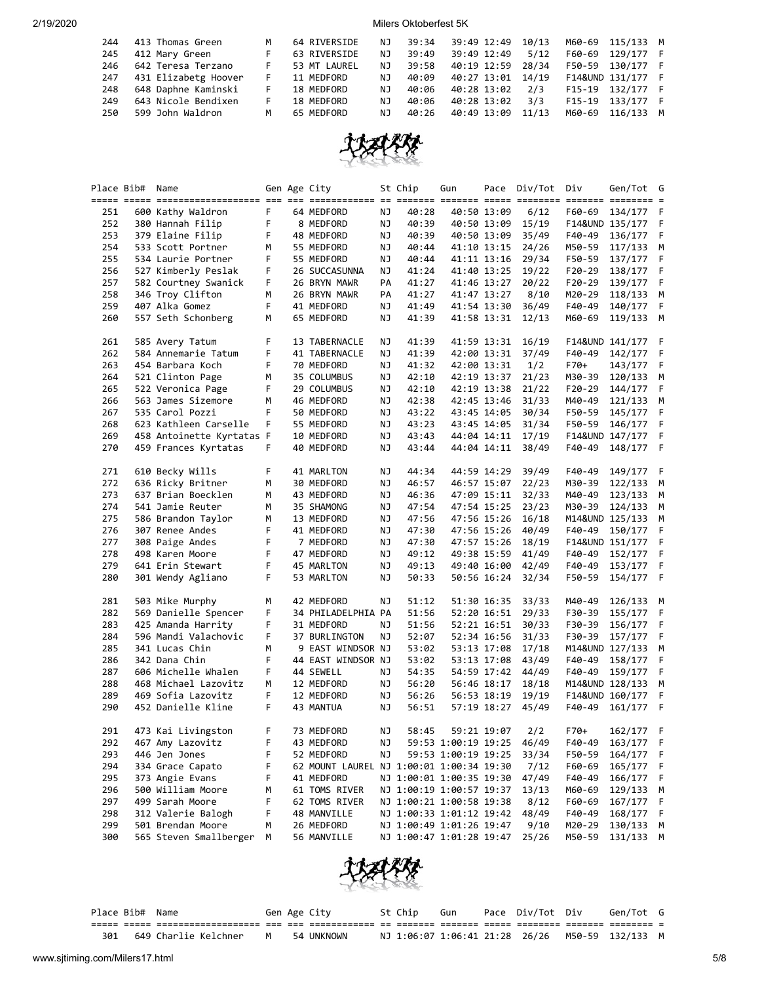| 244 | 413 Thomas Green         | м  | 64 RIVERSIDE | NJ. | 39:34 | 39:49 12:49       | 10/13 | M60-69 115/133 M  |  |
|-----|--------------------------|----|--------------|-----|-------|-------------------|-------|-------------------|--|
| 245 | 412 Mary Green           | F  | 63 RIVERSIDE | NJ. | 39:49 | 39:49 12:49       | 5/12  | F60-69 129/177 F  |  |
| 246 | 642 Teresa Terzano       | F. | 53 MT LAUREL | NJ. | 39:58 | 40:19 12:59       | 28/34 | F50-59 130/177 F  |  |
|     | 247 431 Elizabetg Hoover | F  | 11 MEDFORD   | NJ. | 40:09 | 40:27 13:01 14/19 |       | F14&UND 131/177 F |  |
| 248 | 648 Daphne Kaminski      | F. | 18 MEDFORD   | NJ. | 40:06 | 40:28 13:02       | 2/3   | F15-19 132/177 F  |  |
| 249 | 643 Nicole Bendixen      | F. | 18 MEDFORD   | NJ. | 40:06 | 40:28 13:02       | 3/3   | F15-19 133/177 F  |  |
| 250 | 599 John Waldron         | M  | 65 MEDFORD   | NJ. | 40:26 | 40:49 13:09       | 11/13 | M60-69 116/133 M  |  |



|     | Place Bib# Name |                           |    | Gen Age City                             |    | St Chip                  | Gun                 |             | Pace Div/Tot Div |        | Gen/Tot G         |             |
|-----|-----------------|---------------------------|----|------------------------------------------|----|--------------------------|---------------------|-------------|------------------|--------|-------------------|-------------|
|     |                 |                           |    |                                          |    |                          |                     |             |                  |        |                   |             |
| 251 |                 | 600 Kathy Waldron         | F. | 64 MEDFORD                               | ΝJ | 40:28                    |                     | 40:50 13:09 | 6/12             | F60-69 | 134/177           | - F         |
| 252 |                 | 380 Hannah Filip          | F  | 8 MEDFORD                                | ΝJ | 40:39                    |                     | 40:50 13:09 | 15/19            |        | F14&UND 135/177   | F           |
| 253 |                 | 379 Elaine Filip          | F  | 48 MEDFORD                               | ΝJ | 40:39                    |                     | 40:50 13:09 | 35/49            | F40-49 | 136/177           | F           |
| 254 |                 | 533 Scott Portner         | M  | 55 MEDFORD                               | ΝJ | 40:44                    |                     | 41:10 13:15 | 24/26            | M50-59 | 117/133           | М           |
| 255 |                 | 534 Laurie Portner        | F  | 55 MEDFORD                               | ΝJ | 40:44                    |                     | 41:11 13:16 | 29/34            | F50-59 | 137/177           | F           |
| 256 |                 | 527 Kimberly Peslak       | F  | 26 SUCCASUNNA                            | ΝJ | 41:24                    |                     | 41:40 13:25 | 19/22            | F20-29 | 138/177           | F           |
| 257 |                 | 582 Courtney Swanick      | F  | 26 BRYN MAWR                             | PA | 41:27                    |                     | 41:46 13:27 | 20/22            | F20-29 | 139/177           | F           |
| 258 |                 | 346 Troy Clifton          | м  | 26 BRYN MAWR                             | PA | 41:27                    |                     | 41:47 13:27 | 8/10             | M20-29 | 118/133           | M           |
| 259 |                 | 407 Alka Gomez            | F  | 41 MEDFORD                               | ΝJ | 41:49                    |                     | 41:54 13:30 | 36/49            | F40-49 | 140/177           | F           |
| 260 |                 | 557 Seth Schonberg        | М  | 65 MEDFORD                               | ΝJ | 41:39                    |                     | 41:58 13:31 | 12/13            | M60-69 | 119/133 M         |             |
|     |                 |                           |    |                                          |    |                          |                     |             |                  |        |                   |             |
| 261 |                 | 585 Avery Tatum           | F  | 13 TABERNACLE                            | ΝJ | 41:39                    |                     | 41:59 13:31 | 16/19            |        | F14&UND 141/177 F |             |
| 262 |                 | 584 Annemarie Tatum       | F  | 41 TABERNACLE                            | ΝJ | 41:39                    |                     | 42:00 13:31 | 37/49            | F40-49 | 142/177           | F           |
| 263 |                 | 454 Barbara Koch          | F  | 70 MEDFORD                               | ΝJ | 41:32                    |                     | 42:00 13:31 | 1/2              | F70+   | 143/177           | F           |
| 264 |                 | 521 Clinton Page          | м  | 35 COLUMBUS                              | ΝJ | 42:10                    |                     | 42:19 13:37 | 21/23            | M30-39 | 120/133           | M           |
| 265 |                 | 522 Veronica Page         | F  | 29 COLUMBUS                              | ΝJ | 42:10                    |                     | 42:19 13:38 | 21/22            | F20-29 | 144/177           | F           |
| 266 |                 | 563 James Sizemore        | м  | 46 MEDFORD                               | ΝJ | 42:38                    |                     | 42:45 13:46 | 31/33            | M40-49 | 121/133           | М           |
| 267 |                 | 535 Carol Pozzi           | F  | 50 MEDFORD                               | ΝJ | 43:22                    |                     | 43:45 14:05 | 30/34            | F50-59 | 145/177           | F           |
| 268 |                 | 623 Kathleen Carselle     | F  | 55 MEDFORD                               | ΝJ | 43:23                    |                     | 43:45 14:05 | 31/34            | F50-59 | 146/177           | F           |
| 269 |                 | 458 Antoinette Kyrtatas F |    | 10 MEDFORD                               | ΝJ | 43:43                    |                     | 44:04 14:11 | 17/19            |        | F14&UND 147/177   | F           |
| 270 |                 | 459 Frances Kyrtatas      | F. | 40 MEDFORD                               | ΝJ | 43:44                    |                     | 44:04 14:11 | 38/49            | F40-49 | 148/177           | - F         |
| 271 |                 | 610 Becky Wills           | F  | 41 MARLTON                               | ΝJ | 44:34                    |                     | 44:59 14:29 | 39/49            | F40-49 | 149/177           | - F         |
| 272 |                 | 636 Ricky Britner         | М  | 30 MEDFORD                               | ΝJ | 46:57                    |                     | 46:57 15:07 | 22/23            | M30-39 | 122/133           | M           |
| 273 |                 | 637 Brian Boecklen        | м  | 43 MEDFORD                               | ΝJ | 46:36                    |                     | 47:09 15:11 | 32/33            | M40-49 | 123/133           | M           |
| 274 |                 | 541 Jamie Reuter          | м  | 35 SHAMONG                               | ΝJ | 47:54                    |                     | 47:54 15:25 | 23/23            | M30-39 | 124/133           | M           |
|     |                 |                           | м  |                                          |    |                          |                     |             |                  |        |                   |             |
| 275 |                 | 586 Brandon Taylor        |    | 13 MEDFORD                               | ΝJ | 47:56                    |                     | 47:56 15:26 | 16/18            |        | M14&UND 125/133   | М           |
| 276 |                 | 307 Renee Andes           | F  | 41 MEDFORD                               | ΝJ | 47:30                    |                     | 47:56 15:26 | 40/49            | F40-49 | 150/177           | F           |
| 277 |                 | 308 Paige Andes           | F  | 7 MEDFORD                                | ΝJ | 47:30                    |                     | 47:57 15:26 | 18/19            |        | F14&UND 151/177   | F           |
| 278 |                 | 498 Karen Moore           | F  | 47 MEDFORD                               | ΝJ | 49:12                    |                     | 49:38 15:59 | 41/49            | F40-49 | 152/177           | F           |
| 279 |                 | 641 Erin Stewart          | F  | 45 MARLTON                               | ΝJ | 49:13                    |                     | 49:40 16:00 | 42/49            | F40-49 | 153/177           | F           |
| 280 |                 | 301 Wendy Agliano         | F  | 53 MARLTON                               | ΝJ | 50:33                    |                     | 50:56 16:24 | 32/34            | F50-59 | 154/177           | - F         |
| 281 |                 | 503 Mike Murphy           | M  | 42 MEDFORD                               | ΝJ | 51:12                    |                     | 51:30 16:35 | 33/33            | M40-49 | 126/133 M         |             |
| 282 |                 | 569 Danielle Spencer      | F  | 34 PHILADELPHIA PA                       |    | 51:56                    |                     | 52:20 16:51 | 29/33            | F30-39 | 155/177           | F           |
| 283 |                 | 425 Amanda Harrity        | F  | 31 MEDFORD                               | ΝJ | 51:56                    |                     | 52:21 16:51 | 30/33            | F30-39 | 156/177           | F           |
| 284 |                 | 596 Mandi Valachovic      | F  | 37 BURLINGTON                            | ΝJ | 52:07                    |                     | 52:34 16:56 | 31/33            | F30-39 | 157/177           | F           |
| 285 |                 | 341 Lucas Chin            | М  | 9 EAST WINDSOR NJ                        |    | 53:02                    |                     | 53:13 17:08 | 17/18            |        | M14&UND 127/133   | М           |
| 286 |                 | 342 Dana Chin             | F  | 44 EAST WINDSOR NJ                       |    | 53:02                    |                     | 53:13 17:08 | 43/49            | F40-49 | 158/177           | F           |
| 287 |                 | 606 Michelle Whalen       | F  | 44 SEWELL                                | ΝJ | 54:35                    |                     | 54:59 17:42 | 44/49            | F40-49 | 159/177           | F           |
| 288 |                 | 468 Michael Lazovitz      | м  | 12 MEDFORD                               | ΝJ | 56:20                    |                     | 56:46 18:17 | 18/18            |        | M14&UND 128/133   | М           |
| 289 |                 | 469 Sofia Lazovitz        | F  | 12 MEDFORD                               | ΝJ | 56:26                    |                     | 56:53 18:19 | 19/19            |        | F14&UND 160/177   | F           |
| 290 |                 | 452 Danielle Kline        | F  | 43 MANTUA                                | ΝJ | 56:51                    |                     | 57:19 18:27 | 45/49            | F40-49 | 161/177           | - F         |
|     |                 |                           |    |                                          |    |                          |                     |             |                  |        |                   |             |
| 291 |                 | 473 Kai Livingston        | F  | 73 MEDFORD                               | ΝJ | 58:45                    |                     | 59:21 19:07 | 2/2              | F70+   | 162/177           | - F         |
| 292 |                 | 467 Amy Lazovitz          | F  | 43 MEDFORD                               | ΝJ |                          | 59:53 1:00:19 19:25 |             | 46/49            | F40-49 | 163/177           | $\mathsf F$ |
| 293 |                 | 446 Jen Jones             | F  | 52 MEDFORD                               | ΝJ |                          | 59:53 1:00:19 19:25 |             | 33/34            | F50-59 | 164/177           | F           |
| 294 |                 | 334 Grace Capato          | F  | 62 MOUNT LAUREL NJ 1:00:01 1:00:34 19:30 |    |                          |                     |             | 7/12             | F60-69 | 165/177           | F           |
| 295 |                 | 373 Angie Evans           | F  | 41 MEDFORD                               |    | NJ 1:00:01 1:00:35 19:30 |                     |             | 47/49            | F40-49 | 166/177           | F           |
| 296 |                 | 500 William Moore         | м  | 61 TOMS RIVER                            |    | NJ 1:00:19 1:00:57 19:37 |                     |             | 13/13            | M60-69 | 129/133           | M           |
| 297 |                 | 499 Sarah Moore           | F  | 62 TOMS RIVER                            |    | NJ 1:00:21 1:00:58 19:38 |                     |             | 8/12             | F60-69 | 167/177           | F           |
| 298 |                 | 312 Valerie Balogh        | F  | 48 MANVILLE                              |    | NJ 1:00:33 1:01:12 19:42 |                     |             | 48/49            | F40-49 | 168/177           | F           |
| 299 |                 | 501 Brendan Moore         | м  | 26 MEDFORD                               |    | NJ 1:00:49 1:01:26 19:47 |                     |             | 9/10             | M20-29 | 130/133           | M           |
| 300 |                 | 565 Steven Smallberger    | М  | 56 MANVILLE                              |    | NJ 1:00:47 1:01:28 19:47 |                     |             | 25/26            | M50-59 | 131/133 M         |             |



|  | Place Bib# | Name                 |    | Gen Age City | St Chip | Gun | Pace Div/Tot Div | Gen/Tot                                       |  |
|--|------------|----------------------|----|--------------|---------|-----|------------------|-----------------------------------------------|--|
|  |            |                      |    |              |         |     |                  |                                               |  |
|  |            | 649 Charlie Kelchner | M. | 54 UNKNOWN   |         |     |                  | NJ 1:06:07 1:06:41 21:28 26/26 M50-59 132/133 |  |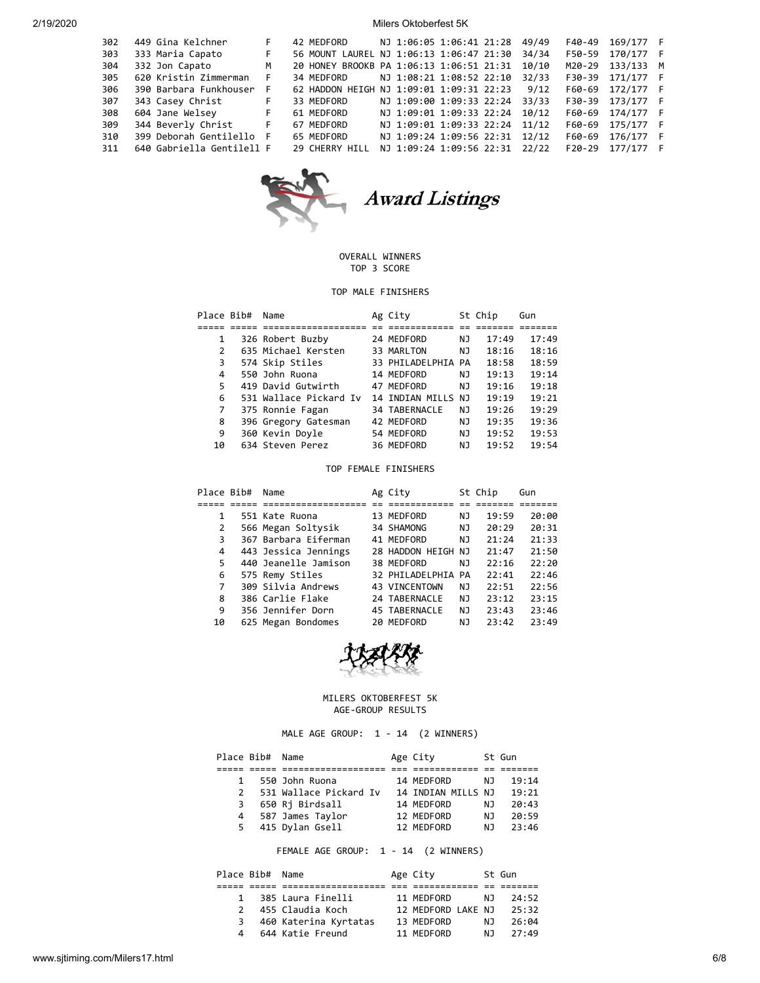| 302 | 449 Gina Kelchner         | F  | 42 MEDFORD                               | NJ 1:06:05 1:06:41 21:28 |  | 49/49 | F40-49   | 169/177 F |  |
|-----|---------------------------|----|------------------------------------------|--------------------------|--|-------|----------|-----------|--|
| 303 | 333 Maria Capato          | F  | 56 MOUNT LAUREL NJ 1:06:13 1:06:47 21:30 |                          |  | 34/34 | F50-59   | 170/177 F |  |
| 304 | 332 Jon Capato            | м  | 20 HONEY BROOKB PA 1:06:13 1:06:51 21:31 |                          |  | 10/10 | M20-29   | 133/133 M |  |
| 305 | 620 Kristin Zimmerman     | F. | 34 MEDFORD                               | NJ 1:08:21 1:08:52 22:10 |  | 32/33 | F30-39   | 171/177 F |  |
| 306 | 390 Barbara Funkhouser    | F  | 62 HADDON HEIGH NJ 1:09:01 1:09:31 22:23 |                          |  | 9/12  | F60-69   | 172/177 F |  |
| 307 | 343 Casey Christ          | F. | 33 MEDFORD                               | NJ 1:09:00 1:09:33 22:24 |  | 33/33 | F30-39   | 173/177 F |  |
| 308 | 604 Jane Welsey           | F. | 61 MEDFORD                               | NJ 1:09:01 1:09:33 22:24 |  | 10/12 | F60-69   | 174/177 F |  |
| 309 | 344 Beverly Christ        | F. | 67 MEDFORD                               | NJ 1:09:01 1:09:33 22:24 |  | 11/12 | F60-69   | 175/177 F |  |
| 310 | 399 Deborah Gentilello F  |    | 65 MEDFORD                               | NJ 1:09:24 1:09:56 22:31 |  | 12/12 | F60-69   | 176/177 F |  |
| 311 | 640 Gabriella Gentilell F |    | 29 CHERRY HILL                           | NJ 1:09:24 1:09:56 22:31 |  | 22/22 | $F20-29$ | 177/177 F |  |
|     |                           |    |                                          |                          |  |       |          |           |  |



## OVERALL WINNERS TOP 3 SCORE

## TOP MALE FINISHERS

| Place Bib# | Name                   | Ag City            |    | St Chip | Gun   |
|------------|------------------------|--------------------|----|---------|-------|
|            |                        |                    |    |         |       |
|            | 326 Robert Buzby       | 24 MEDFORD         | ΝJ | 17:49   | 17:49 |
| 2          | 635 Michael Kersten    | 33 MARLTON         | ΝJ | 18:16   | 18:16 |
| 3          | 574 Skip Stiles        | 33 PHILADELPHIA PA |    | 18:58   | 18:59 |
| 4          | 550 John Ruona         | 14 MEDFORD         | ΝJ | 19:13   | 19:14 |
| 5          | 419 David Gutwirth     | 47 MEDFORD         | NJ | 19:16   | 19:18 |
| 6          | 531 Wallace Pickard Iv | 14 INDIAN MILLS NJ |    | 19:19   | 19:21 |
| 7          | 375 Ronnie Fagan       | 34 TABERNACLE      | ΝJ | 19:26   | 19:29 |
| 8          | 396 Gregory Gatesman   | 42 MEDFORD         | ΝJ | 19:35   | 19:36 |
| 9          | 360 Kevin Doyle        | 54 MEDFORD         | ΝJ | 19:52   | 19:53 |
| 10         | 634 Steven Perez       | 36 MEDFORD         | ΝJ | 19:52   | 19:54 |

### TOP FEMALE FINISHERS

| Place Bib# | Name                 | Ag City            |    | St Chip | Gun   |
|------------|----------------------|--------------------|----|---------|-------|
|            |                      |                    |    |         |       |
| 1          | 551 Kate Ruona       | 13 MEDFORD         | ΝJ | 19:59   | 20:00 |
| 2          | 566 Megan Soltysik   | 34 SHAMONG         | ΝJ | 20:29   | 20:31 |
| 3          | 367 Barbara Eiferman | 41 MEDFORD         | NJ | 21:24   | 21:33 |
| 4          | 443 Jessica Jennings | 28 HADDON HEIGH NJ |    | 21:47   | 21:50 |
| 5          | 440 Jeanelle Jamison | 38 MEDFORD         | ΝJ | 22:16   | 22:20 |
| 6          | 575 Remy Stiles      | 32 PHILADELPHIA PA |    | 22:41   | 22:46 |
| 7          | 309 Silvia Andrews   | 43 VINCENTOWN      | NJ | 22:51   | 22:56 |
| 8          | 386 Carlie Flake     | 24 TABERNACLE      | NJ | 23:12   | 23:15 |
| 9          | 356 Jennifer Dorn    | 45 TABERNACLE      | NJ | 23:43   | 23:46 |
| 10         | 625 Megan Bondomes   | 20 MEDFORD         | ΝJ | 23:42   | 23:49 |



# MILERS OKTOBERFEST 5K AGE-GROUP RESULTS

MALE AGE GROUP: 1 - 14 (2 WINNERS)

| Place Bib# Name |                        | Age City           |     | St Gun |
|-----------------|------------------------|--------------------|-----|--------|
|                 |                        |                    |     |        |
| $\mathbf{1}$    | 550 John Ruona         | 14 MEDFORD         | NJ. | 19:14  |
| $\mathcal{P}$   | 531 Wallace Pickard Iv | 14 INDIAN MILLS NJ |     | 19:21  |
| 3.              | 650 Rj Birdsall        | 14 MEDFORD         | NJ. | 20:43  |
| 4               | 587 James Taylor       | 12 MEDFORD         | NJ. | 20:59  |
| 5.              | 415 Dylan Gsell        | 12 MEDFORD         | N J | 23:46  |
|                 |                        |                    |     |        |

FEMALE AGE GROUP: 1 - 14 (2 WINNERS)

|               | Place Bib# Name |                       | Age City           |     | St Gun |
|---------------|-----------------|-----------------------|--------------------|-----|--------|
|               |                 |                       |                    |     |        |
| $\mathbf{1}$  |                 | 385 Laura Finelli     | 11 MEDFORD         | NJ. | 24:52  |
| $\mathcal{P}$ |                 | 455 Claudia Koch      | 12 MEDFORD LAKE NJ |     | 25:32  |
| 3.            |                 | 460 Katerina Kyrtatas | 13 MEDFORD         | N J | 26:04  |
| Δ.            |                 | 644 Katie Freund      | 11 MEDFORD         | N J | 27:49  |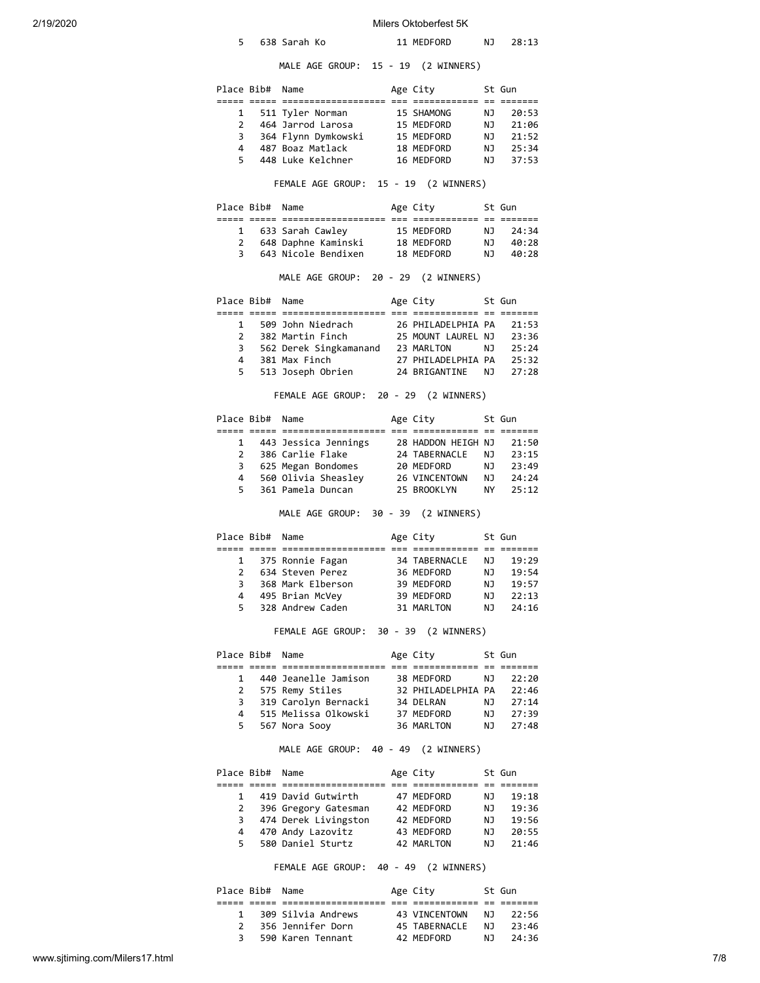| 2/19/2020 |              |                 |                                                                          | Milers Oktoberfest 5K    |           |                |
|-----------|--------------|-----------------|--------------------------------------------------------------------------|--------------------------|-----------|----------------|
|           | 5            |                 | 638 Sarah Ko                                                             | 11 MEDFORD               | NJ        | 28:13          |
|           |              |                 | MALE AGE GROUP: 15 - 19 (2 WINNERS)                                      |                          |           |                |
|           |              | Place Bib# Name |                                                                          | Age City                 |           | St Gun         |
|           | 1            |                 | 511 Tyler Norman                                                         | 15 SHAMONG               | ΝJ        | 20:53          |
|           | $\mathbf{2}$ |                 | 464 Jarrod Larosa                                                        |                          | NJ 1      | 21:06          |
|           |              | 3               | 364 Flynn Dymkowski                                                      | 15 MEDFORD<br>15 MEDFORD |           | NJ 21:52       |
|           |              | $4 \quad$       | 487 Boaz Matlack                                                         | 18 MEDFORD               | NJ 1      | 25:34          |
|           | 5            |                 | 448 Luke Kelchner                                                        | 16 MEDFORD               | NJ 1      | 37:53          |
|           |              |                 | FEMALE AGE GROUP: 15 - 19 (2 WINNERS)                                    |                          |           |                |
|           |              | Place Bib# Name |                                                                          | Age City                 |           | St Gun         |
|           |              | $1 \quad$       |                                                                          |                          | NJ        | 24:34          |
|           | $\mathbf{2}$ |                 | 633 Sarah Cawley 15 MEDFORD<br>648 Daphne Kaminski 18 MEDFORD            |                          | NJ        | 40:28          |
|           | 3            |                 | 643 Nicole Bendixen 18 MEDFORD                                           |                          | NJ        | 40:28          |
|           |              |                 | MALE AGE GROUP: 20 - 29 (2 WINNERS)                                      |                          |           |                |
|           |              | Place Bib# Name |                                                                          | Age City                 |           | St Gun         |
|           |              | $1 \quad$       | 509 John Niedrach                                                        |                          |           |                |
|           |              |                 | 2 382 Martin Finch 25 MOUNT LAUREL NJ                                    | 26 PHILADELPHIA PA       |           | 21:53          |
|           |              | 3               |                                                                          |                          |           | 23:36<br>25:24 |
|           |              | $4 \quad$       | 562 Derek Singkamanand 23 MARLTON NJ<br>381 Max Finch 27 PHILADELPHIA PA |                          |           | 25:32          |
|           | 5            |                 | 513 Joseph Obrien                                                        | 24 BRIGANTINE            | NJ        | 27:28          |
|           |              |                 |                                                                          |                          |           |                |
|           |              |                 | FEMALE AGE GROUP: 20 - 29 (2 WINNERS)                                    |                          |           |                |
|           |              | Place Bib# Name |                                                                          | Age City                 |           | St Gun         |
|           |              |                 | 1 443 Jessica Jennings 28 HADDON HEIGH NJ                                |                          |           | 21:50          |
|           |              | $2^{\circ}$     | 386 Carlie Flake 24 TABERNACLE NJ                                        |                          |           | 23:15          |
|           |              |                 | 3 625 Megan Bondomes                                                     | 20 MEDFORD               | <b>NJ</b> | 23:49          |
|           |              | $4 \quad$       | 560 Olivia Sheasley 26 VINCENTOWN                                        |                          | NJ        | 24:24          |
|           |              | 5.              | 361 Pamela Duncan                                                        | 25 BROOKLYN              | NY L      | 25:12          |
|           |              |                 | MALE AGE GROUP: 30 - 39 (2 WINNERS)                                      |                          |           |                |
|           |              | Place Bib# Name |                                                                          | Age City                 |           | St Gun         |
|           |              |                 |                                                                          |                          |           |                |
|           | 1            |                 | 375 Ronnie Fagan                                                         | 34 TABERNACLE            | ΝJ        | 19:29          |
|           | 2            |                 | 634 Steven Perez                                                         | 36 MEDFORD               | ΝJ        | 19:54          |
|           | 3            |                 | 368 Mark Elberson                                                        | 39 MEDFORD               | ΝJ        | 19:57          |
|           | 4<br>5.      |                 | 495 Brian McVey<br>328 Andrew Caden                                      | 39 MEDFORD<br>31 MARLTON | ΝJ<br>ΝJ  | 22:13<br>24:16 |
|           |              |                 |                                                                          |                          |           |                |
|           |              |                 | FEMALE AGE GROUP: 30 - 39 (2 WINNERS)                                    |                          |           |                |
|           |              | Place Bib# Name |                                                                          | Age City                 |           | St Gun         |
|           | 1            |                 | 440 Jeanelle Jamison                                                     | 38 MEDFORD               | ΝJ        | 22:20          |
|           | $\mathbf{2}$ |                 | 575 Remy Stiles                                                          | 32 PHILADELPHIA PA       |           | 22:46          |
|           | 3            |                 | 319 Carolyn Bernacki                                                     | 34 DELRAN                | NJ        | 27:14          |
|           | 4            |                 | 515 Melissa Olkowski                                                     | 37 MEDFORD               | NJ        | 27:39          |
|           | 5            |                 | 567 Nora Sooy                                                            | 36 MARLTON               | NJ        | 27:48          |
|           |              |                 | MALE AGE GROUP: 40 - 49 (2 WINNERS)                                      |                          |           |                |
|           |              | Place Bib# Name |                                                                          | Age City                 |           | St Gun         |
|           |              |                 |                                                                          |                          |           |                |
|           | $\mathbf{1}$ |                 | 419 David Gutwirth                                                       | 47 MEDFORD               | ΝJ        | 19:18          |
|           | $\mathbf{2}$ |                 | 396 Gregory Gatesman                                                     | 42 MEDFORD               | NJ        | 19:36          |
|           |              | 3               | 474 Derek Livingston                                                     | 42 MEDFORD               | NJ        | 19:56          |
|           | 4<br>5.      |                 | 470 Andy Lazovitz<br>580 Daniel Sturtz                                   | 43 MEDFORD<br>42 MARLTON | NJ<br>ΝJ  | 20:55<br>21:46 |
|           |              |                 |                                                                          |                          |           |                |
|           |              |                 | FEMALE AGE GROUP: 40 - 49 (2 WINNERS)                                    |                          |           |                |
|           |              | Place Bib# Name |                                                                          | Age City                 |           | St Gun         |

|               | Place Bib# Name |                    | Age Lity      |     | St Gun |  |
|---------------|-----------------|--------------------|---------------|-----|--------|--|
|               |                 |                    |               |     |        |  |
| 1.            |                 | 309 Silvia Andrews | 43 VINCENTOWN | N J | 22:56  |  |
| $\mathcal{P}$ |                 | 356 Jennifer Dorn  | 45 TABERNACLE | N J | 23:46  |  |
| 3.            |                 | 590 Karen Tennant  | 42 MEDFORD    | דוח | 24:36  |  |
|               |                 |                    |               |     |        |  |